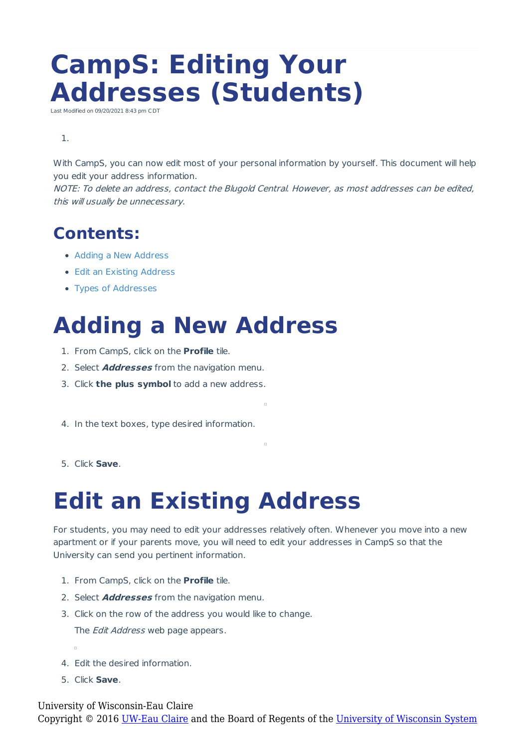# **CampS: Editing Your Addresses (Students)**

Last Modified on 09/20/2021 8:43 pm CDT

#### 1.

With CampS, you can now edit most of your personal information by yourself. This document will help you edit your address information.

NOTE: To delete an address, contact the Blugold Central. However, as most addresses can be edited, this will usually be unnecessary.

#### **Contents:**

- Adding a New Address
- Edit an Existing Address
- Types of Addresses

## **Adding a New Address**

- 1. From CampS, click on the **Profile** tile.
- 2. Select **Addresses** from the navigation menu.
- 3. Click **the plus symbol** to add a new address.
- 4. In the text boxes, type desired information.
- 5. Click **Save**.

### **Edit an Existing Address**

For students, you may need to edit your addresses relatively often. Whenever you move into a new apartment or if your parents move, you will need to edit your addresses in CampS so that the University can send you pertinent information.

 $\overline{\phantom{a}}$ 

 $\overline{a}$ 

- 1. From CampS, click on the **Profile** tile.
- 2. Select **Addresses** from the navigation menu.
- 3. Click on the row of the address you would like to change.

The *Edit Address* web page appears.

- 4. Edit the desired information.
- 5. Click **Save**.

University of Wisconsin-Eau Claire Copyright © 2016 [UW-Eau Claire](http://www.uwec.edu) and the Board of Regents of the [University of Wisconsin System](http://www.uwsa.edu/)